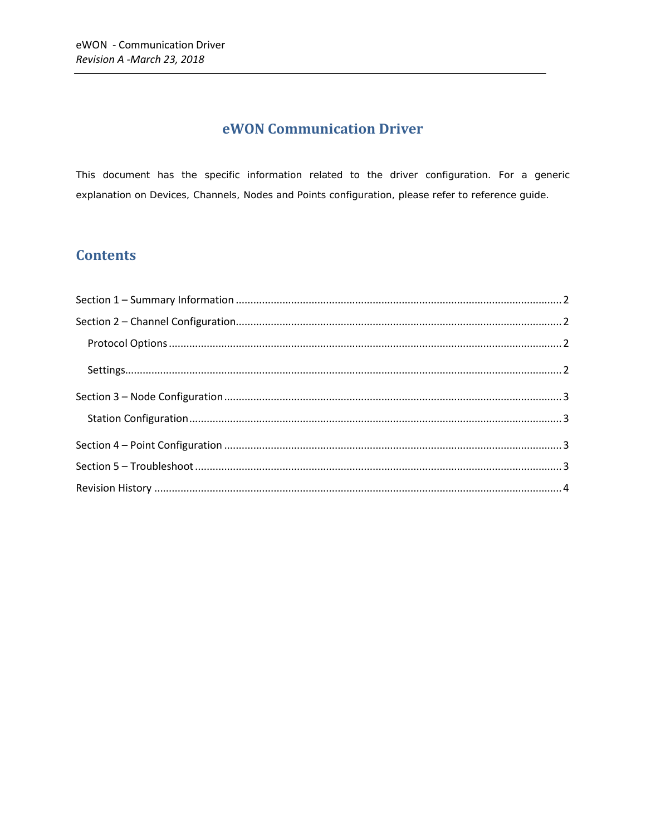## eWON Communication Driver

This document has the specific information related to the driver configuration. For a generic explanation on Devices, Channels, Nodes and Points configuration, please refer to reference guide.

## **Contents**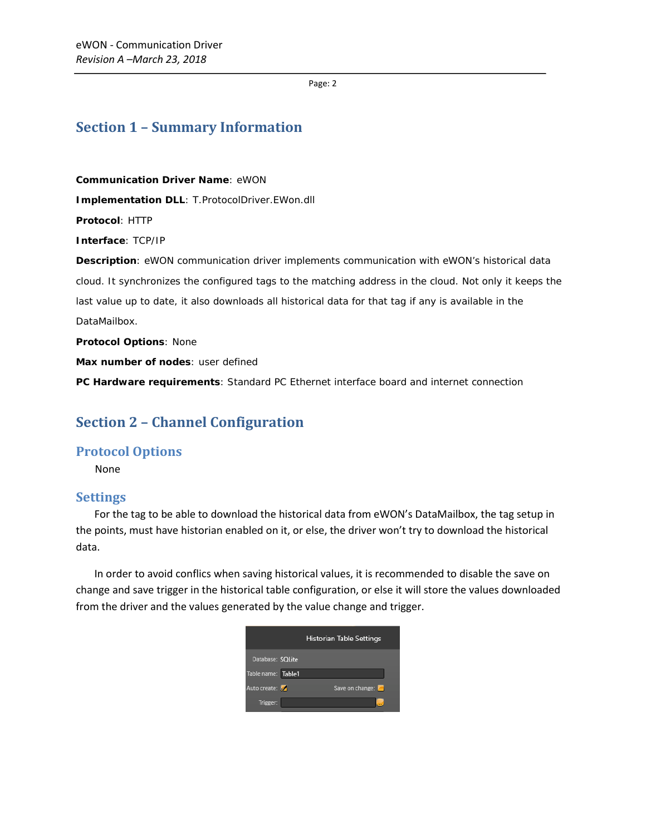Page: 2

### <span id="page-1-0"></span>**Section 1 – Summary Information**

**Communication Driver Name**: eWON **Implementation DLL**: T.ProtocolDriver.EWon.dll **Protocol**: HTTP **Interface**: TCP/IP **Description**: eWON communication driver implements communication with eWON's historical data cloud. It synchronizes the configured tags to the matching address in the cloud. Not only it keeps the last value up to date, it also downloads all historical data for that tag if any is available in the DataMailbox. **Protocol Options**: None

**Max number of nodes**: user defined

<span id="page-1-1"></span>**PC Hardware requirements**: Standard PC Ethernet interface board and internet connection

## **Section 2 – Channel Configuration**

#### <span id="page-1-2"></span>**Protocol Options**

None

#### <span id="page-1-3"></span>**Settings**

 For the tag to be able to download the historical data from eWON's DataMailbox, the tag setup in the points, must have historian enabled on it, or else, the driver won't try to download the historical data.

 In order to avoid conflics when saving historical values, it is recommended to disable the save on change and save trigger in the historical table configuration, or else it will store the values downloaded from the driver and the values generated by the value change and trigger.

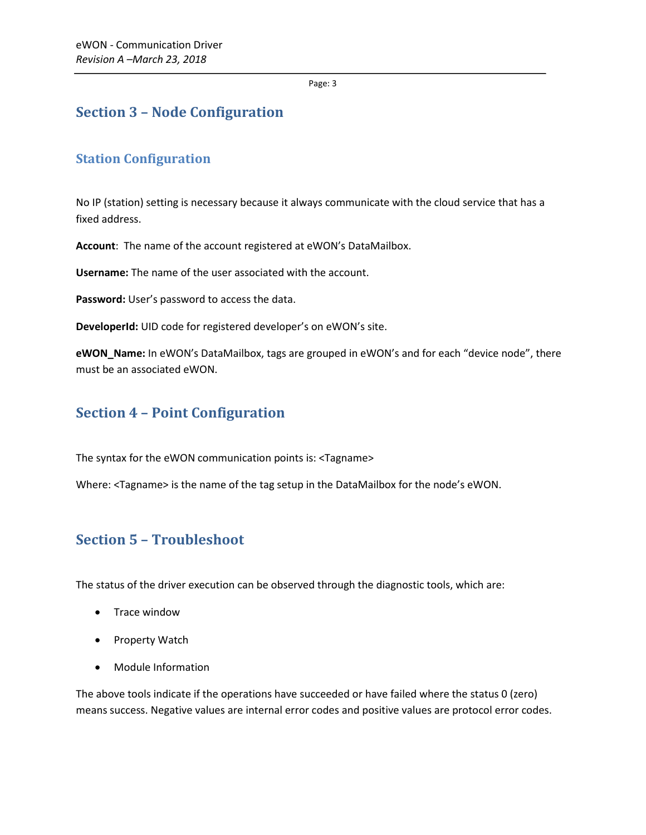Page: 3

## <span id="page-2-0"></span>**Section 3 – Node Configuration**

### <span id="page-2-1"></span>**Station Configuration**

No IP (station) setting is necessary because it always communicate with the cloud service that has a fixed address.

**Account**: The name of the account registered at eWON's DataMailbox.

**Username:** The name of the user associated with the account.

**Password:** User's password to access the data.

**DeveloperId:** UID code for registered developer's on eWON's site.

**eWON\_Name:** In eWON's DataMailbox, tags are grouped in eWON's and for each "device node", there must be an associated eWON.

## <span id="page-2-2"></span>**Section 4 – Point Configuration**

The syntax for the eWON communication points is: <Tagname>

Where: <Tagname> is the name of the tag setup in the DataMailbox for the node's eWON.

## <span id="page-2-3"></span>**Section 5 – Troubleshoot**

The status of the driver execution can be observed through the diagnostic tools, which are:

- Trace window
- Property Watch
- Module Information

The above tools indicate if the operations have succeeded or have failed where the status 0 (zero) means success. Negative values are internal error codes and positive values are protocol error codes.